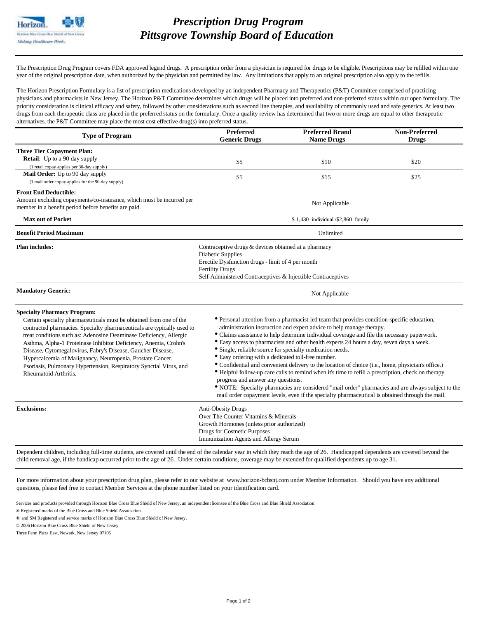## *Prescription Drug Program Pittsgrove Township Board of Education*

The Prescription Drug Program covers FDA approved legend drugs. A prescription order from a physician is required for drugs to be eligible. Prescriptions may be refilled within one year of the original prescription date, when authorized by the physician and permitted by law. Any limitations that apply to an original prescription also apply to the refills.

The Horizon Prescription Formulary is a list of prescription medications developed by an independent Pharmacy and Therapeutics (P&T) Committee comprised of practicing physicians and pharmacists in New Jersey. The Horizon P&T Committee determines which drugs will be placed into preferred and non-preferred status within our open formulary. The priority consideration is clinical efficacy and safety, followed by other considerations such as second line therapies, and availability of commonly used and safe generics. At least two drugs from each therapeutic class are placed in the preferred status on the formulary. Once a quality review has determined that two or more drugs are equal to other therapeutic alternatives, the P&T Committee may place the most cost effective drug(s) into preferred status.

| Preferred<br><b>Generic Drugs</b>                                                                                                                                                                                                                                                                                                                                                                                                                                                                                                                                                                                                                                                                                                                                                                                                                                                                                                           | <b>Preferred Brand</b><br><b>Name Drugs</b> | <b>Non-Preferred</b><br><b>Drugs</b> |
|---------------------------------------------------------------------------------------------------------------------------------------------------------------------------------------------------------------------------------------------------------------------------------------------------------------------------------------------------------------------------------------------------------------------------------------------------------------------------------------------------------------------------------------------------------------------------------------------------------------------------------------------------------------------------------------------------------------------------------------------------------------------------------------------------------------------------------------------------------------------------------------------------------------------------------------------|---------------------------------------------|--------------------------------------|
| \$5                                                                                                                                                                                                                                                                                                                                                                                                                                                                                                                                                                                                                                                                                                                                                                                                                                                                                                                                         | \$10                                        | \$20                                 |
| \$5                                                                                                                                                                                                                                                                                                                                                                                                                                                                                                                                                                                                                                                                                                                                                                                                                                                                                                                                         | \$15                                        | \$25                                 |
|                                                                                                                                                                                                                                                                                                                                                                                                                                                                                                                                                                                                                                                                                                                                                                                                                                                                                                                                             | Not Applicable                              |                                      |
| \$1,430 individual /\$2,860 family                                                                                                                                                                                                                                                                                                                                                                                                                                                                                                                                                                                                                                                                                                                                                                                                                                                                                                          |                                             |                                      |
|                                                                                                                                                                                                                                                                                                                                                                                                                                                                                                                                                                                                                                                                                                                                                                                                                                                                                                                                             | Unlimited                                   |                                      |
| Contraceptive drugs & devices obtained at a pharmacy<br><b>Diabetic Supplies</b><br>Erectile Dysfunction drugs - limit of 4 per month<br><b>Fertility Drugs</b><br>Self-Administered Contraceptives & Injectible Contraceptives                                                                                                                                                                                                                                                                                                                                                                                                                                                                                                                                                                                                                                                                                                             |                                             |                                      |
| Not Applicable                                                                                                                                                                                                                                                                                                                                                                                                                                                                                                                                                                                                                                                                                                                                                                                                                                                                                                                              |                                             |                                      |
| • Personal attention from a pharmacist-led team that provides condition-specific education,<br>administration instruction and expert advice to help manage therapy.<br>• Claims assistance to help determine individual coverage and file the necessary paperwork.<br>• Easy access to pharmacists and other health experts 24 hours a day, seven days a week.<br>• Single, reliable source for specialty medication needs.<br>• Easy ordering with a dedicated toll-free number.<br>· Confidential and convenient delivery to the location of choice (i.e., home, physician's office.)<br>• Helpful follow-up care calls to remind when it's time to refill a prescription, check on therapy<br>progress and answer any questions.<br>• NOTE: Specialty pharmacies are considered "mail order" pharmacies and are always subject to the<br>mail order copayment levels, even if the specialty pharmaceutical is obtained through the mail. |                                             |                                      |
| <b>Anti-Obesity Drugs</b><br>Over The Counter Vitamins & Minerals<br>Growth Hormones (unless prior authorized)<br><b>Drugs for Cosmetic Purposes</b><br>Immunization Agents and Allergy Serum                                                                                                                                                                                                                                                                                                                                                                                                                                                                                                                                                                                                                                                                                                                                               |                                             |                                      |
|                                                                                                                                                                                                                                                                                                                                                                                                                                                                                                                                                                                                                                                                                                                                                                                                                                                                                                                                             |                                             |                                      |

For more information about your prescription drug plan, please refer to our website at [www.horizon-bcbsnj.com](http://www.horizon-bcbsnj.com) under Member Information. Should you have any additional questions, please feel free to contact Member Services at the phone number listed on your identification card.

Services and products provided through Horizon Blue Cross Blue Shield of New Jersey, an independent licensee of the Blue Cross and Blue Shield Association.

® Registered marks of the Blue Cross and Blue Shield Association.

®' and SM Registered and service marks of Horizon Blue Cross Blue Shield of New Jersey.

© 2006 Horizon Blue Cross Blue Shield of New Jersey

Three Penn Plaza East, Newark, New Jersey 07105